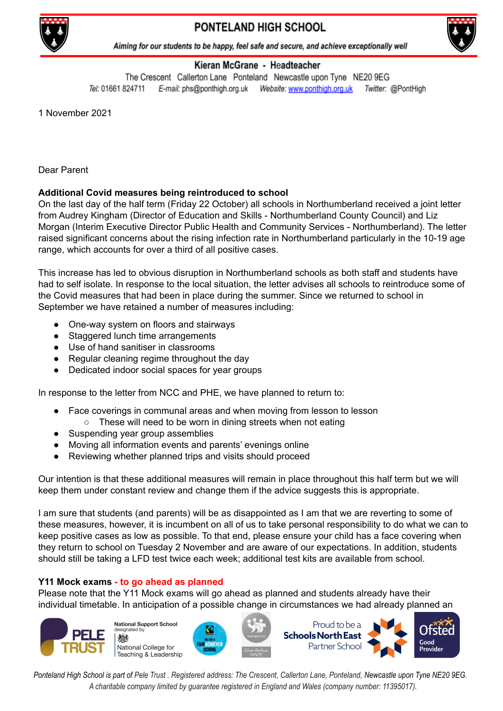

# PONTELAND HIGH SCHOOL



Aiming for our students to be happy, feel safe and secure, and achieve exceptionally well

## Kieran McGrane - Headteacher

The Crescent Callerton Lane Ponteland Newcastle upon Tyne NE20 9EG Tel: 01661 824711 Twitter: @PontHigh

1 November 2021

Dear Parent

## **Additional Covid measures being reintroduced to school**

On the last day of the half term (Friday 22 October) all schools in Northumberland received a joint letter from Audrey Kingham (Director of Education and Skills - Northumberland County Council) and Liz Morgan (Interim Executive Director Public Health and Community Services - Northumberland). The letter raised significant concerns about the rising infection rate in Northumberland particularly in the 10-19 age range, which accounts for over a third of all positive cases.

This increase has led to obvious disruption in Northumberland schools as both staff and students have had to self isolate. In response to the local situation, the letter advises all schools to reintroduce some of the Covid measures that had been in place during the summer. Since we returned to school in September we have retained a number of measures including:

- One-way system on floors and stairways
- Staggered lunch time arrangements
- Use of hand sanitiser in classrooms
- Regular cleaning regime throughout the day
- Dedicated indoor social spaces for year groups

In response to the letter from NCC and PHE, we have planned to return to:

- Face coverings in communal areas and when moving from lesson to lesson
	- These will need to be worn in dining streets when not eating
- Suspending year group assemblies
- Moving all information events and parents' evenings online
- Reviewing whether planned trips and visits should proceed

Our intention is that these additional measures will remain in place throughout this half term but we will keep them under constant review and change them if the advice suggests this is appropriate.

I am sure that students (and parents) will be as disappointed as I am that we are reverting to some of these measures, however, it is incumbent on all of us to take personal responsibility to do what we can to keep positive cases as low as possible. To that end, please ensure your child has a face covering when they return to school on Tuesday 2 November and are aware of our expectations. In addition, students should still be taking a LFD test twice each week; additional test kits are available from school.

#### **Y11 Mock exams - to go ahead as planned**

Please note that the Y11 Mock exams will go ahead as planned and students already have their individual timetable. In anticipation of a possible change in circumstances we had already planned an



**National Support School** id heternizel National College for Teaching & Leadership







Ponteland High School is part of Pele Trust. Registered address: The Crescent, Callerton Lane, Ponteland, Newcastle upon Tyne NE20 9EG. *A charitable company limited by guarantee registered in England and Wales (company number: 11395017).*